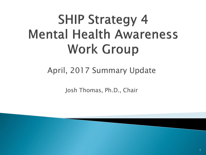# **SHIP Strategy 4 Mental Health Awareness Work Group**

#### April, 2017 Summary Update

Josh Thomas, Ph.D., Chair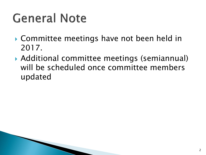### **General Note**

- Committee meetings have not been held in 2017.
- Additional committee meetings (semiannual) will be scheduled once committee members updated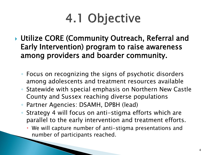# 4.1 Objective

- ▶ Utilize CORE (Community Outreach, Referral and Early Intervention) program to raise awareness among providers and boarder community.
	- Focus on recognizing the signs of psychotic disorders among adolescents and treatment resources available
	- Statewide with special emphasis on Northern New Castle County and Sussex reaching diverse populations
	- Partner Agencies: DSAMH, DPBH (lead)
	- Strategy 4 will focus on anti-stigma efforts which are parallel to the early intervention and treatment efforts.
		- We will capture number of anti-stigma presentations and number of participants reached.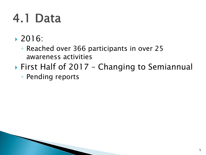#### 4.1 Data

- 2016:
	- Reached over 366 participants in over 25 awareness activities
- ▶ First Half of 2017 Changing to Semiannual
	- Pending reports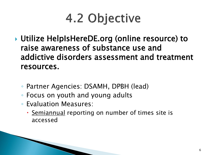# 4.2 Objective

- Utilize HelpIsHereDE.org (online resource) to raise awareness of substance use and addictive disorders assessment and treatment resources.
	- Partner Agencies: DSAMH, DPBH (lead)
	- Focus on youth and young adults
	- Evaluation Measures:
		- Semiannual reporting on number of times site is accessed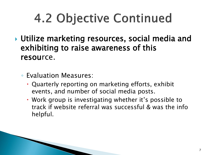# 4.2 Objective Continued

- ▶ Utilize marketing resources, social media and exhibiting to raise awareness of this resource.
	- Evaluation Measures:
		- Quarterly reporting on marketing efforts, exhibit events, and number of social media posts.
		- Work group is investigating whether it's possible to track if website referral was successful & was the info helpful.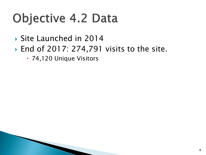#### **Objective 4.2 Data**

Site Launched in 2014

- ▶ End of 2017: 274,791 visits to the site.
	- 74,120 Unique Visitors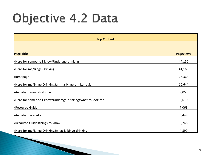### Objective 4.2 Data

| <b>Top Content</b>                                                                                                                                                                                                      |                                                    |
|-------------------------------------------------------------------------------------------------------------------------------------------------------------------------------------------------------------------------|----------------------------------------------------|
|                                                                                                                                                                                                                         |                                                    |
| <b>Page Title</b>                                                                                                                                                                                                       | <b>Pageviews</b>                                   |
| /Here-for-someone-I-know/Underage-drinking                                                                                                                                                                              | 44,150                                             |
| /Here-for-me/Binge-Drinking                                                                                                                                                                                             | 41,169                                             |
| Homepage                                                                                                                                                                                                                | 26,363                                             |
| /Here-for-me/Binge-Drinking#am-i-a-binge-drinker-quiz                                                                                                                                                                   | 10,644                                             |
|                                                                                                                                                                                                                         |                                                    |
|                                                                                                                                                                                                                         |                                                    |
|                                                                                                                                                                                                                         |                                                    |
|                                                                                                                                                                                                                         |                                                    |
|                                                                                                                                                                                                                         |                                                    |
|                                                                                                                                                                                                                         |                                                    |
| /#what-you-need-to-know<br>/Here-for-someone-I-know/Underage-drinking#what-to-look-for<br>/Resource-Guide<br>//#what-you-can-do<br>/Resource-Guide#things-to-know<br>/Here-for-me/Binge-Drinking#what-is-binge-drinking | 9,053<br>8,610<br>7,063<br>5,448<br>5,248<br>4,899 |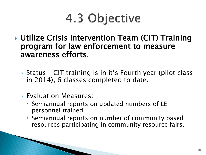### 4.3 Objective

- ▶ Utilize Crisis Intervention Team (CIT) Training program for law enforcement to measure awareness efforts.
	- Status CIT training is in it's Fourth year (pilot class in 2014), 6 classes completed to date.
	- Evaluation Measures:
		- Semiannual reports on updated numbers of LE personnel trained.
		- Semiannual reports on number of community based resources participating in community resource fairs.